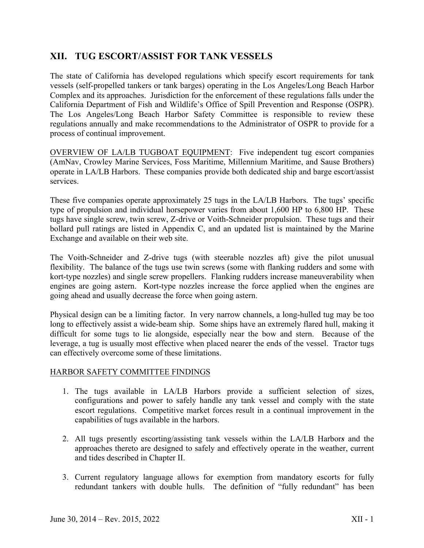# **XII. TUG ESCORT/ASSIST FOR TANK VESSELS**

The state of California has developed regulations which specify escort requirements for tank vessels (self-propelled tankers or tank barges) operating in the Los Angeles/Long Beach Harbor Complex and its approaches. Jurisdiction for the enforcement of these regulations falls under the California Department of Fish and Wildlife's Office of Spill Prevention and Response (OSPR). The Los Angeles/Long Beach Harbor Safety Committee is responsible to review these regulations annually and make recommendations to the Administrator of OSPR to provide for a process of continual improvement.

OVERVIEW OF LA/LB TUGBOAT EQUIPMENT: Five independent tug escort companies (AmNav, Crowley Marine Services, Foss Maritime, Millennium Maritime, and Sause Brothers) operate in LA/LB Harbors. These companies provide both dedicated ship and barge escort/assist services.

These five companies operate approximately 25 tugs in the LA/LB Harbors. The tugs' specific type of propulsion and individual horsepower varies from about 1,600 HP to 6,800 HP. These tugs have single screw, twin screw, Z-drive or Voith-Schneider propulsion. These tugs and their bollard pull ratings are listed in Appendix C, and an updated list is maintained by the Marine Exchange and available on their web site.

The Voith-Schneider and Z-drive tugs (with steerable nozzles aft) give the pilot unusual flexibility. The balance of the tugs use twin screws (some with flanking rudders and some with kort-type nozzles) and single screw propellers. Flanking rudders increase maneuverability when engines are going astern. Kort-type nozzles increase the force applied when the engines are going ahead and usually decrease the force when going astern.

Physical design can be a limiting factor. In very narrow channels, a long-hulled tug may be too long to effectively assist a wide-beam ship. Some ships have an extremely flared hull, making it difficult for some tugs to lie alongside, especially near the bow and stern. Because of the leverage, a tug is usually most effective when placed nearer the ends of the vessel. Tractor tugs can effectively overcome some of these limitations.

# HARBOR SAFETY COMMITTEE FINDINGS

- 1. The tugs available in LA/LB Harbors provide a sufficient selection of sizes, configurations and power to safely handle any tank vessel and comply with the state escort regulations. Competitive market forces result in a continual improvement in the capabilities of tugs available in the harbors.
- 2. All tugs presently escorting/assisting tank vessels within the LA/LB Harbor*s* and the approaches thereto are designed to safely and effectively operate in the weather, current and tides described in Chapter II.
- 3. Current regulatory language allows for exemption from mandatory escorts for fully redundant tankers with double hulls. The definition of "fully redundant" has been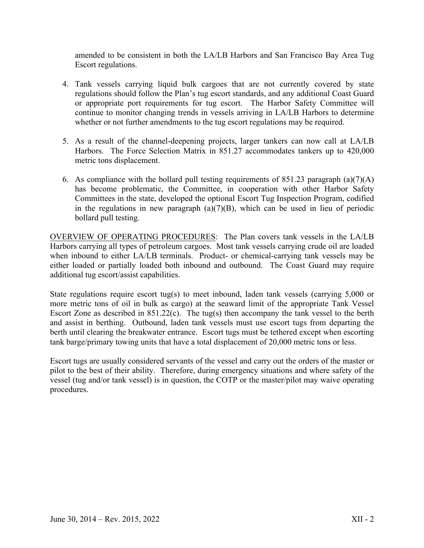amended to be consistent in both the LA/LB Harbors and San Francisco Bay Area Tug Escort regulations.

- 4. Tank vessels carrying liquid bulk cargoes that are not currently covered by state regulations should follow the Plan's tug escort standards, and any additional Coast Guard or appropriate port requirements for tug escort. The Harbor Safety Committee will continue to monitor changing trends in vessels arriving in LA/LB Harbors to determine whether or not further amendments to the tug escort regulations may be required.
- 5. As a result of the channel-deepening projects, larger tankers can now call at LA/LB Harbors. The Force Selection Matrix in 851.27 accommodates tankers up to 420,000 metric tons displacement.
- 6. As compliance with the bollard pull testing requirements of  $851.23$  paragraph  $(a)(7)(A)$ has become problematic, the Committee, in cooperation with other Harbor Safety Committees in the state, developed the optional Escort Tug Inspection Program, codified in the regulations in new paragraph  $(a)(7)(B)$ , which can be used in lieu of periodic bollard pull testing.

OVERVIEW OF OPERATING PROCEDURES: The Plan covers tank vessels in the LA/LB Harbors carrying all types of petroleum cargoes. Most tank vessels carrying crude oil are loaded when inbound to either LA/LB terminals. Product- or chemical-carrying tank vessels may be either loaded or partially loaded both inbound and outbound. The Coast Guard may require additional tug escort/assist capabilities.

State regulations require escort tug(s) to meet inbound, laden tank vessels (carrying 5,000 or more metric tons of oil in bulk as cargo) at the seaward limit of the appropriate Tank Vessel Escort Zone as described in 851.22(c). The tug(s) then accompany the tank vessel to the berth and assist in berthing. Outbound, laden tank vessels must use escort tugs from departing the berth until clearing the breakwater entrance. Escort tugs must be tethered except when escorting tank barge/primary towing units that have a total displacement of 20,000 metric tons or less.

Escort tugs are usually considered servants of the vessel and carry out the orders of the master or pilot to the best of their ability. Therefore, during emergency situations and where safety of the vessel (tug and/or tank vessel) is in question, the COTP or the master/pilot may waive operating procedures.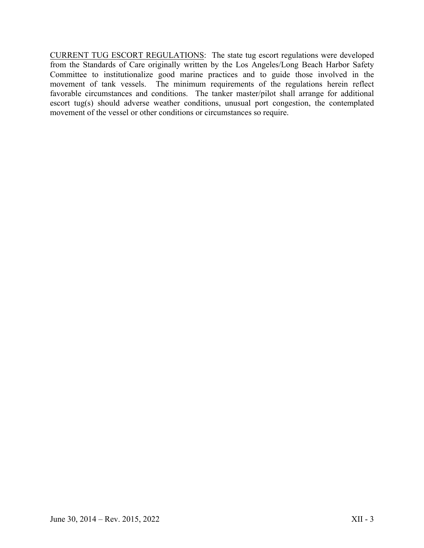CURRENT TUG ESCORT REGULATIONS: The state tug escort regulations were developed from the Standards of Care originally written by the Los Angeles/Long Beach Harbor Safety Committee to institutionalize good marine practices and to guide those involved in the movement of tank vessels. The minimum requirements of the regulations herein reflect favorable circumstances and conditions. The tanker master/pilot shall arrange for additional escort tug(s) should adverse weather conditions, unusual port congestion, the contemplated movement of the vessel or other conditions or circumstances so require.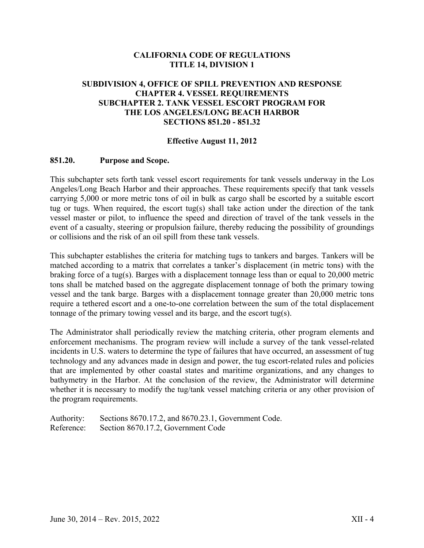# **CALIFORNIA CODE OF REGULATIONS TITLE 14, DIVISION 1**

## **SUBDIVISION 4, OFFICE OF SPILL PREVENTION AND RESPONSE CHAPTER 4. VESSEL REQUIREMENTS SUBCHAPTER 2. TANK VESSEL ESCORT PROGRAM FOR THE LOS ANGELES/LONG BEACH HARBOR SECTIONS 851.20 - 851.32**

#### **Effective August 11, 2012**

#### **851.20. Purpose and Scope.**

This subchapter sets forth tank vessel escort requirements for tank vessels underway in the Los Angeles/Long Beach Harbor and their approaches. These requirements specify that tank vessels carrying 5,000 or more metric tons of oil in bulk as cargo shall be escorted by a suitable escort tug or tugs. When required, the escort tug(s) shall take action under the direction of the tank vessel master or pilot, to influence the speed and direction of travel of the tank vessels in the event of a casualty, steering or propulsion failure, thereby reducing the possibility of groundings or collisions and the risk of an oil spill from these tank vessels.

This subchapter establishes the criteria for matching tugs to tankers and barges. Tankers will be matched according to a matrix that correlates a tanker's displacement (in metric tons) with the braking force of a tug(s). Barges with a displacement tonnage less than or equal to 20,000 metric tons shall be matched based on the aggregate displacement tonnage of both the primary towing vessel and the tank barge. Barges with a displacement tonnage greater than 20,000 metric tons require a tethered escort and a one-to-one correlation between the sum of the total displacement tonnage of the primary towing vessel and its barge, and the escort tug(s).

The Administrator shall periodically review the matching criteria, other program elements and enforcement mechanisms. The program review will include a survey of the tank vessel-related incidents in U.S. waters to determine the type of failures that have occurred, an assessment of tug technology and any advances made in design and power, the tug escort-related rules and policies that are implemented by other coastal states and maritime organizations, and any changes to bathymetry in the Harbor. At the conclusion of the review, the Administrator will determine whether it is necessary to modify the tug/tank vessel matching criteria or any other provision of the program requirements.

Authority: Sections 8670.17.2, and 8670.23.1, Government Code. Reference: Section 8670.17.2, Government Code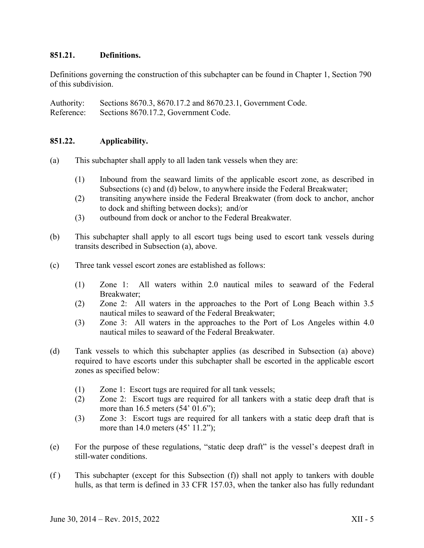# **851.21. Definitions.**

Definitions governing the construction of this subchapter can be found in Chapter 1, Section 790 of this subdivision.

Authority: Sections 8670.3, 8670.17.2 and 8670.23.1, Government Code. Reference: Sections 8670.17.2, Government Code.

## **851.22. Applicability.**

- (a) This subchapter shall apply to all laden tank vessels when they are:
	- (1) Inbound from the seaward limits of the applicable escort zone, as described in Subsections (c) and (d) below, to anywhere inside the Federal Breakwater;
	- (2) transiting anywhere inside the Federal Breakwater (from dock to anchor, anchor to dock and shifting between docks); and/or
	- (3) outbound from dock or anchor to the Federal Breakwater.
- (b) This subchapter shall apply to all escort tugs being used to escort tank vessels during transits described in Subsection (a), above.
- (c) Three tank vessel escort zones are established as follows:
	- (1) Zone 1: All waters within 2.0 nautical miles to seaward of the Federal Breakwater;
	- (2) Zone 2: All waters in the approaches to the Port of Long Beach within 3.5 nautical miles to seaward of the Federal Breakwater;
	- (3) Zone 3: All waters in the approaches to the Port of Los Angeles within 4.0 nautical miles to seaward of the Federal Breakwater.
- (d) Tank vessels to which this subchapter applies (as described in Subsection (a) above) required to have escorts under this subchapter shall be escorted in the applicable escort zones as specified below:
	- (1) Zone 1: Escort tugs are required for all tank vessels;
	- (2) Zone 2: Escort tugs are required for all tankers with a static deep draft that is more than 16.5 meters (54' 01.6");
	- (3) Zone 3: Escort tugs are required for all tankers with a static deep draft that is more than 14.0 meters (45' 11.2");
- (e) For the purpose of these regulations, "static deep draft" is the vessel's deepest draft in still-water conditions.
- (f ) This subchapter (except for this Subsection (f)) shall not apply to tankers with double hulls, as that term is defined in 33 CFR 157.03, when the tanker also has fully redundant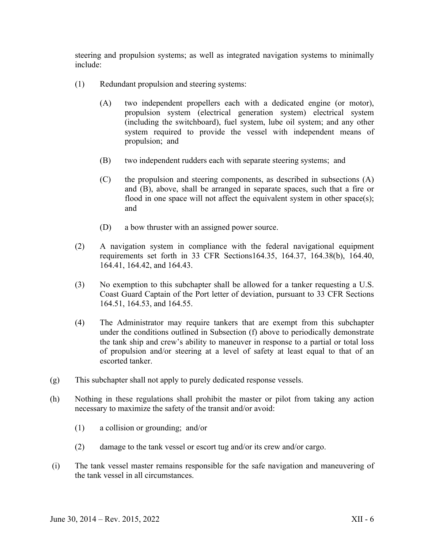steering and propulsion systems; as well as integrated navigation systems to minimally include:

- (1) Redundant propulsion and steering systems:
	- (A) two independent propellers each with a dedicated engine (or motor), propulsion system (electrical generation system) electrical system (including the switchboard), fuel system, lube oil system; and any other system required to provide the vessel with independent means of propulsion; and
	- (B) two independent rudders each with separate steering systems; and
	- (C) the propulsion and steering components, as described in subsections (A) and (B), above, shall be arranged in separate spaces, such that a fire or flood in one space will not affect the equivalent system in other space(s); and
	- (D) a bow thruster with an assigned power source.
- (2) A navigation system in compliance with the federal navigational equipment requirements set forth in 33 CFR Sections164.35, 164.37, 164.38(b), 164.40, 164.41, 164.42, and 164.43.
- (3) No exemption to this subchapter shall be allowed for a tanker requesting a U.S. Coast Guard Captain of the Port letter of deviation, pursuant to 33 CFR Sections 164.51, 164.53, and 164.55.
- (4) The Administrator may require tankers that are exempt from this subchapter under the conditions outlined in Subsection (f) above to periodically demonstrate the tank ship and crew's ability to maneuver in response to a partial or total loss of propulsion and/or steering at a level of safety at least equal to that of an escorted tanker.
- (g) This subchapter shall not apply to purely dedicated response vessels.
- (h) Nothing in these regulations shall prohibit the master or pilot from taking any action necessary to maximize the safety of the transit and/or avoid:
	- (1) a collision or grounding; and/or
	- (2) damage to the tank vessel or escort tug and/or its crew and/or cargo.
- (i) The tank vessel master remains responsible for the safe navigation and maneuvering of the tank vessel in all circumstances.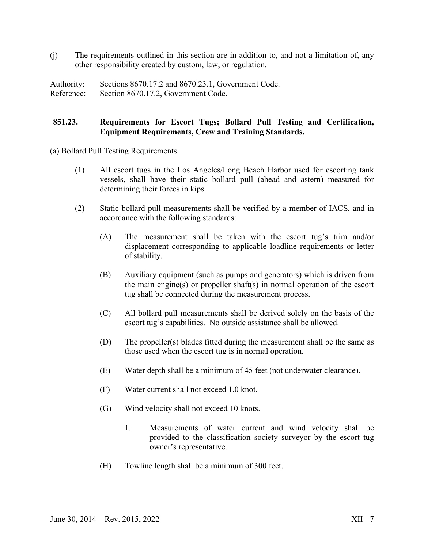(j) The requirements outlined in this section are in addition to, and not a limitation of, any other responsibility created by custom, law, or regulation.

Authority: Sections 8670.17.2 and 8670.23.1, Government Code. Reference: Section 8670.17.2, Government Code.

## **851.23. Requirements for Escort Tugs; Bollard Pull Testing and Certification, Equipment Requirements, Crew and Training Standards.**

(a) Bollard Pull Testing Requirements.

- (1) All escort tugs in the Los Angeles/Long Beach Harbor used for escorting tank vessels, shall have their static bollard pull (ahead and astern) measured for determining their forces in kips.
- (2) Static bollard pull measurements shall be verified by a member of IACS, and in accordance with the following standards:
	- (A) The measurement shall be taken with the escort tug's trim and/or displacement corresponding to applicable loadline requirements or letter of stability.
	- (B) Auxiliary equipment (such as pumps and generators) which is driven from the main engine(s) or propeller shaft(s) in normal operation of the escort tug shall be connected during the measurement process.
	- (C) All bollard pull measurements shall be derived solely on the basis of the escort tug's capabilities. No outside assistance shall be allowed.
	- (D) The propeller(s) blades fitted during the measurement shall be the same as those used when the escort tug is in normal operation.
	- (E) Water depth shall be a minimum of 45 feet (not underwater clearance).
	- (F) Water current shall not exceed 1.0 knot.
	- (G) Wind velocity shall not exceed 10 knots.
		- 1. Measurements of water current and wind velocity shall be provided to the classification society surveyor by the escort tug owner's representative.
	- (H) Towline length shall be a minimum of 300 feet.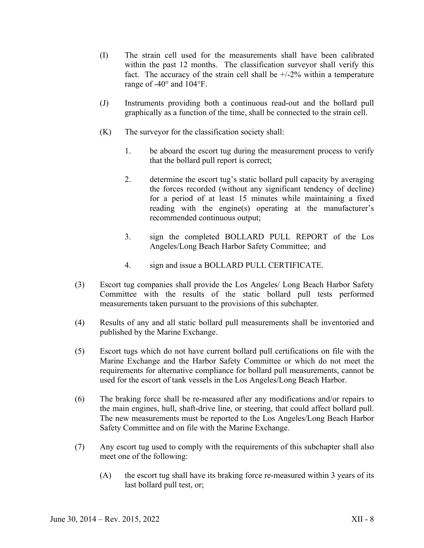- (I) The strain cell used for the measurements shall have been calibrated within the past 12 months. The classification surveyor shall verify this fact. The accuracy of the strain cell shall be  $+/-2\%$  within a temperature range of -40° and 104°F.
- (J) Instruments providing both a continuous read-out and the bollard pull graphically as a function of the time, shall be connected to the strain cell.
- (K) The surveyor for the classification society shall:
	- 1. be aboard the escort tug during the measurement process to verify that the bollard pull report is correct;
	- 2. determine the escort tug's static bollard pull capacity by averaging the forces recorded (without any significant tendency of decline) for a period of at least 15 minutes while maintaining a fixed reading with the engine(s) operating at the manufacturer's recommended continuous output;
	- 3. sign the completed BOLLARD PULL REPORT of the Los Angeles/Long Beach Harbor Safety Committee; and
	- 4. sign and issue a BOLLARD PULL CERTIFICATE.
- (3) Escort tug companies shall provide the Los Angeles/ Long Beach Harbor Safety Committee with the results of the static bollard pull tests performed measurements taken pursuant to the provisions of this subchapter.
- (4) Results of any and all static bollard pull measurements shall be inventoried and published by the Marine Exchange.
- (5) Escort tugs which do not have current bollard pull certifications on file with the Marine Exchange and the Harbor Safety Committee or which do not meet the requirements for alternative compliance for bollard pull measurements, cannot be used for the escort of tank vessels in the Los Angeles/Long Beach Harbor.
- (6) The braking force shall be re-measured after any modifications and/or repairs to the main engines, hull, shaft-drive line, or steering, that could affect bollard pull. The new measurements must be reported to the Los Angeles/Long Beach Harbor Safety Committee and on file with the Marine Exchange.
- (7) Any escort tug used to comply with the requirements of this subchapter shall also meet one of the following:
	- (A) the escort tug shall have its braking force re-measured within 3 years of its last bollard pull test, or;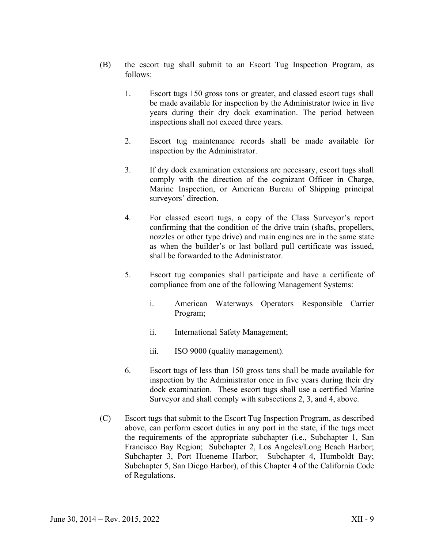- (B) the escort tug shall submit to an Escort Tug Inspection Program, as follows:
	- 1. Escort tugs 150 gross tons or greater, and classed escort tugs shall be made available for inspection by the Administrator twice in five years during their dry dock examination. The period between inspections shall not exceed three years.
	- 2. Escort tug maintenance records shall be made available for inspection by the Administrator.
	- 3. If dry dock examination extensions are necessary, escort tugs shall comply with the direction of the cognizant Officer in Charge, Marine Inspection, or American Bureau of Shipping principal surveyors' direction.
	- 4. For classed escort tugs, a copy of the Class Surveyor's report confirming that the condition of the drive train (shafts, propellers, nozzles or other type drive) and main engines are in the same state as when the builder's or last bollard pull certificate was issued, shall be forwarded to the Administrator.
	- 5. Escort tug companies shall participate and have a certificate of compliance from one of the following Management Systems:
		- i. American Waterways Operators Responsible Carrier Program;
		- ii. International Safety Management;
		- iii. ISO 9000 (quality management).
	- 6. Escort tugs of less than 150 gross tons shall be made available for inspection by the Administrator once in five years during their dry dock examination. These escort tugs shall use a certified Marine Surveyor and shall comply with subsections 2, 3, and 4, above.
- (C) Escort tugs that submit to the Escort Tug Inspection Program, as described above, can perform escort duties in any port in the state, if the tugs meet the requirements of the appropriate subchapter (i.e., Subchapter 1, San Francisco Bay Region; Subchapter 2, Los Angeles/Long Beach Harbor; Subchapter 3, Port Hueneme Harbor; Subchapter 4, Humboldt Bay; Subchapter 5, San Diego Harbor), of this Chapter 4 of the California Code of Regulations.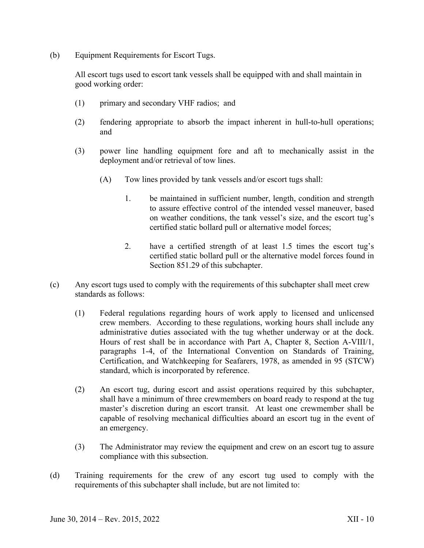(b) Equipment Requirements for Escort Tugs.

All escort tugs used to escort tank vessels shall be equipped with and shall maintain in good working order:

- (1) primary and secondary VHF radios; and
- (2) fendering appropriate to absorb the impact inherent in hull-to-hull operations; and
- (3) power line handling equipment fore and aft to mechanically assist in the deployment and/or retrieval of tow lines.
	- (A) Tow lines provided by tank vessels and/or escort tugs shall:
		- 1. be maintained in sufficient number, length, condition and strength to assure effective control of the intended vessel maneuver, based on weather conditions, the tank vessel's size, and the escort tug's certified static bollard pull or alternative model forces;
		- 2. have a certified strength of at least 1.5 times the escort tug's certified static bollard pull or the alternative model forces found in Section 851.29 of this subchapter.
- (c) Any escort tugs used to comply with the requirements of this subchapter shall meet crew standards as follows:
	- (1) Federal regulations regarding hours of work apply to licensed and unlicensed crew members. According to these regulations, working hours shall include any administrative duties associated with the tug whether underway or at the dock. Hours of rest shall be in accordance with Part A, Chapter 8, Section A-VIII/1, paragraphs 1-4, of the International Convention on Standards of Training, Certification, and Watchkeeping for Seafarers, 1978, as amended in 95 (STCW) standard, which is incorporated by reference.
	- (2) An escort tug, during escort and assist operations required by this subchapter, shall have a minimum of three crewmembers on board ready to respond at the tug master's discretion during an escort transit. At least one crewmember shall be capable of resolving mechanical difficulties aboard an escort tug in the event of an emergency.
	- (3) The Administrator may review the equipment and crew on an escort tug to assure compliance with this subsection.
- (d) Training requirements for the crew of any escort tug used to comply with the requirements of this subchapter shall include, but are not limited to: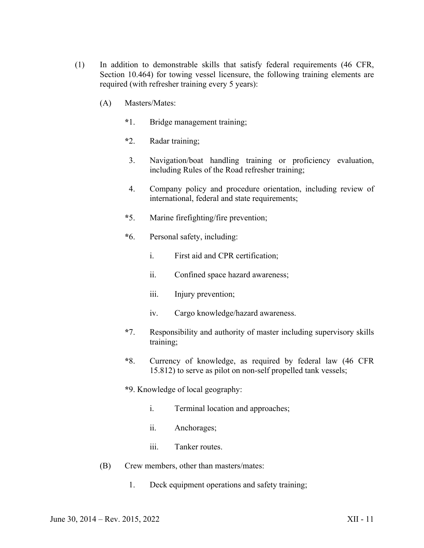- (1) In addition to demonstrable skills that satisfy federal requirements (46 CFR, Section 10.464) for towing vessel licensure, the following training elements are required (with refresher training every 5 years):
	- (A) Masters/Mates:
		- **\***1. Bridge management training;
		- **\***2. Radar training;
		- 3. Navigation/boat handling training or proficiency evaluation, including Rules of the Road refresher training;
		- 4. Company policy and procedure orientation, including review of international, federal and state requirements;
		- **\***5. Marine firefighting/fire prevention;
		- **\***6. Personal safety, including:
			- i. First aid and CPR certification;
			- ii. Confined space hazard awareness;
			- iii. Injury prevention;
			- iv. Cargo knowledge/hazard awareness.
		- **\***7. Responsibility and authority of master including supervisory skills training;
		- **\***8. Currency of knowledge, as required by federal law (46 CFR 15.812) to serve as pilot on non-self propelled tank vessels;
		- **\***9. Knowledge of local geography:
			- i. Terminal location and approaches;
			- ii. Anchorages;
			- iii. Tanker routes
	- (B) Crew members, other than masters/mates:
		- 1. Deck equipment operations and safety training;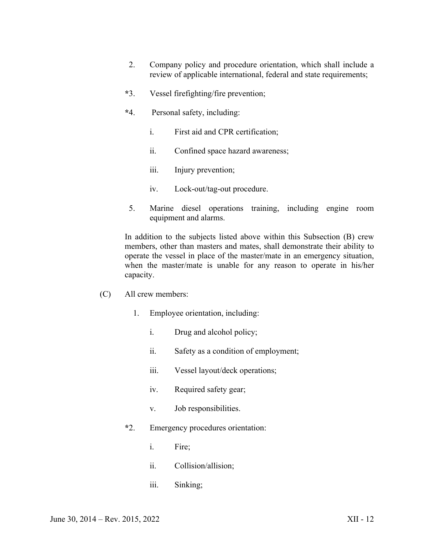- 2. Company policy and procedure orientation, which shall include a review of applicable international, federal and state requirements;
- **\***3. Vessel firefighting/fire prevention;
- **\***4. Personal safety, including:
	- i. First aid and CPR certification;
	- ii. Confined space hazard awareness;
	- iii. Injury prevention;
	- iv. Lock-out/tag-out procedure.
- 5. Marine diesel operations training, including engine room equipment and alarms.

In addition to the subjects listed above within this Subsection (B) crew members, other than masters and mates, shall demonstrate their ability to operate the vessel in place of the master/mate in an emergency situation, when the master/mate is unable for any reason to operate in his/her capacity.

- (C) All crew members:
	- 1. Employee orientation, including:
		- i. Drug and alcohol policy;
		- ii. Safety as a condition of employment;
		- iii. Vessel layout/deck operations;
		- iv. Required safety gear;
		- v. Job responsibilities.
	- **\***2. Emergency procedures orientation:
		- i. Fire;
		- ii. Collision/allision;
		- iii. Sinking;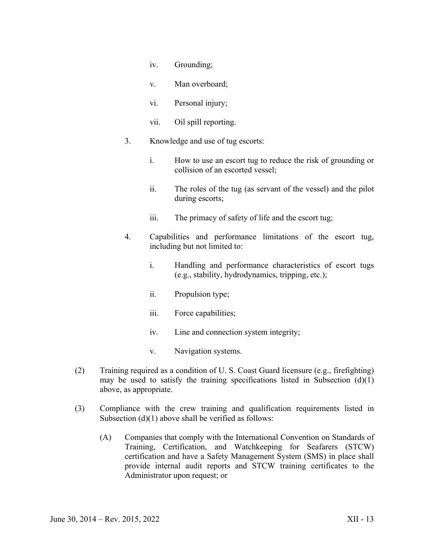- iv. Grounding;
- v. Man overboard;
- vi. Personal injury;
- vii. Oil spill reporting.
- 3. Knowledge and use of tug escorts:
	- i. How to use an escort tug to reduce the risk of grounding or collision of an escorted vessel;
	- ii. The roles of the tug (as servant of the vessel) and the pilot during escorts;
	- iii. The primacy of safety of life and the escort tug;
- 4. Capabilities and performance limitations of the escort tug, including but not limited to:
	- i. Handling and performance characteristics of escort tugs (e.g., stability, hydrodynamics, tripping, etc.);
	- ii. Propulsion type;
	- iii. Force capabilities;
	- iv. Line and connection system integrity;
	- v. Navigation systems.
- (2) Training required as a condition of U. S. Coast Guard licensure (e.g., firefighting) may be used to satisfy the training specifications listed in Subsection  $(d)(1)$ above, as appropriate.
- (3) Compliance with the crew training and qualification requirements listed in Subsection  $(d)(1)$  above shall be verified as follows:
	- (A) Companies that comply with the International Convention on Standards of Training, Certification, and Watchkeeping for Seafarers (STCW) certification and have a Safety Management System (SMS) in place shall provide internal audit reports and STCW training certificates to the Administrator upon request; or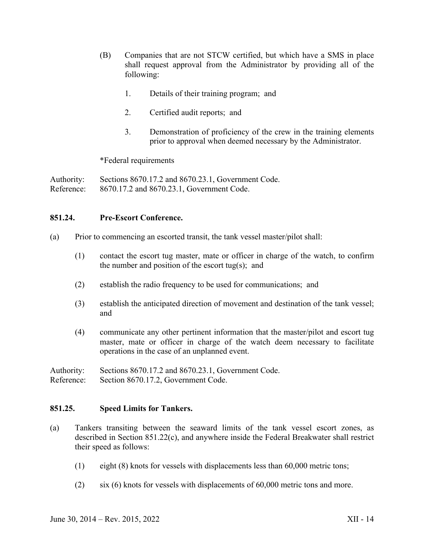- (B) Companies that are not STCW certified, but which have a SMS in place shall request approval from the Administrator by providing all of the following:
	- 1. Details of their training program; and
	- 2. Certified audit reports; and
	- 3. Demonstration of proficiency of the crew in the training elements prior to approval when deemed necessary by the Administrator.

\*Federal requirements

Authority: Sections 8670.17.2 and 8670.23.1, Government Code. Reference: 8670.17.2 and 8670.23.1, Government Code.

#### **851.24. Pre-Escort Conference.**

- (a) Prior to commencing an escorted transit, the tank vessel master/pilot shall:
	- (1) contact the escort tug master, mate or officer in charge of the watch, to confirm the number and position of the escort tug(s); and
	- (2) establish the radio frequency to be used for communications; and
	- (3) establish the anticipated direction of movement and destination of the tank vessel; and
	- (4) communicate any other pertinent information that the master/pilot and escort tug master, mate or officer in charge of the watch deem necessary to facilitate operations in the case of an unplanned event.

Authority: Sections 8670.17.2 and 8670.23.1, Government Code.

Reference: Section 8670.17.2, Government Code.

#### **851.25. Speed Limits for Tankers.**

- (a) Tankers transiting between the seaward limits of the tank vessel escort zones, as described in Section 851.22(c), and anywhere inside the Federal Breakwater shall restrict their speed as follows:
	- (1) eight (8) knots for vessels with displacements less than 60,000 metric tons;
	- (2) six (6) knots for vessels with displacements of 60,000 metric tons and more.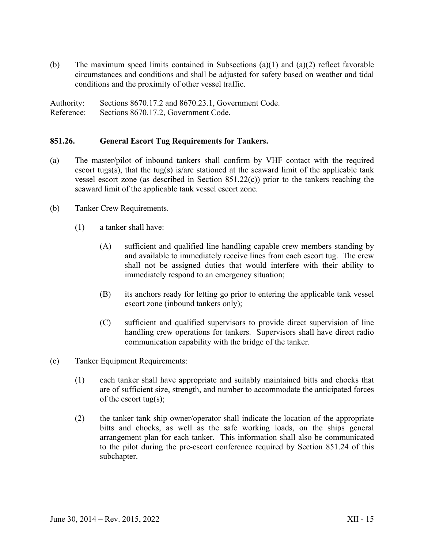(b) The maximum speed limits contained in Subsections (a)(1) and (a)(2) reflect favorable circumstances and conditions and shall be adjusted for safety based on weather and tidal conditions and the proximity of other vessel traffic.

Authority: Sections 8670.17.2 and 8670.23.1, Government Code. Reference: Sections 8670.17.2, Government Code.

#### **851.26. General Escort Tug Requirements for Tankers.**

- (a) The master/pilot of inbound tankers shall confirm by VHF contact with the required escort tugs(s), that the tug(s) is/are stationed at the seaward limit of the applicable tank vessel escort zone (as described in Section 851.22(c)) prior to the tankers reaching the seaward limit of the applicable tank vessel escort zone.
- (b) Tanker Crew Requirements.
	- (1) a tanker shall have:
		- (A) sufficient and qualified line handling capable crew members standing by and available to immediately receive lines from each escort tug. The crew shall not be assigned duties that would interfere with their ability to immediately respond to an emergency situation;
		- (B) its anchors ready for letting go prior to entering the applicable tank vessel escort zone (inbound tankers only);
		- (C) sufficient and qualified supervisors to provide direct supervision of line handling crew operations for tankers. Supervisors shall have direct radio communication capability with the bridge of the tanker.
- (c) Tanker Equipment Requirements:
	- (1) each tanker shall have appropriate and suitably maintained bitts and chocks that are of sufficient size, strength, and number to accommodate the anticipated forces of the escort tug(s);
	- (2) the tanker tank ship owner/operator shall indicate the location of the appropriate bitts and chocks, as well as the safe working loads, on the ships general arrangement plan for each tanker. This information shall also be communicated to the pilot during the pre-escort conference required by Section 851.24 of this subchapter.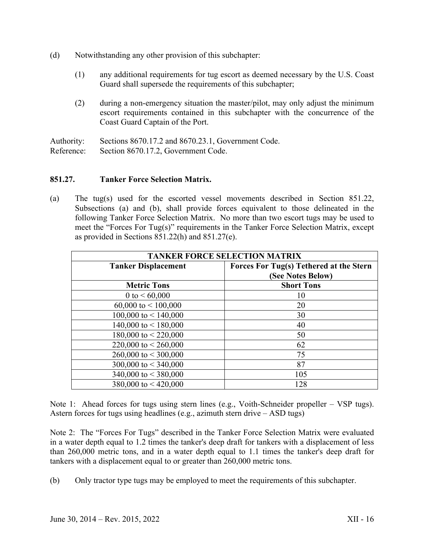- (d) Notwithstanding any other provision of this subchapter:
	- (1) any additional requirements for tug escort as deemed necessary by the U.S. Coast Guard shall supersede the requirements of this subchapter;
	- (2) during a non-emergency situation the master/pilot, may only adjust the minimum escort requirements contained in this subchapter with the concurrence of the Coast Guard Captain of the Port.

Authority: Sections 8670.17.2 and 8670.23.1, Government Code. Reference: Section 8670.17.2, Government Code.

## **851.27. Tanker Force Selection Matrix.**

(a) The tug(s) used for the escorted vessel movements described in Section 851.22, Subsections (a) and (b), shall provide forces equivalent to those delineated in the following Tanker Force Selection Matrix. No more than two escort tugs may be used to meet the "Forces For Tug(s)" requirements in the Tanker Force Selection Matrix, except as provided in Sections 851.22(h) and 851.27(e).

| <b>TANKER FORCE SELECTION MATRIX</b> |                                                              |  |
|--------------------------------------|--------------------------------------------------------------|--|
| <b>Tanker Displacement</b>           | Forces For Tug(s) Tethered at the Stern<br>(See Notes Below) |  |
| <b>Metric Tons</b>                   | <b>Short Tons</b>                                            |  |
| 0 to $< 60,000$                      | 10                                                           |  |
| $60,000$ to $\leq 100,000$           | 20                                                           |  |
| 100,000 to $<$ 140,000               | 30                                                           |  |
| 140,000 to $<$ 180,000               | 40                                                           |  |
| 180,000 to $<$ 220,000               | 50                                                           |  |
| 220,000 to $<$ 260,000               | 62                                                           |  |
| 260,000 to $<$ 300,000               | 75                                                           |  |
| 300,000 to $<$ 340,000               | 87                                                           |  |
| 340,000 to $<$ 380,000               | 105                                                          |  |
| 380,000 to $<$ 420,000               | 128                                                          |  |

Note 1: Ahead forces for tugs using stern lines (e.g., Voith-Schneider propeller – VSP tugs). Astern forces for tugs using headlines (e.g., azimuth stern drive  $-$  ASD tugs)

Note 2: The "Forces For Tugs" described in the Tanker Force Selection Matrix were evaluated in a water depth equal to 1.2 times the tanker's deep draft for tankers with a displacement of less than 260,000 metric tons, and in a water depth equal to 1.1 times the tanker's deep draft for tankers with a displacement equal to or greater than 260,000 metric tons.

(b) Only tractor type tugs may be employed to meet the requirements of this subchapter.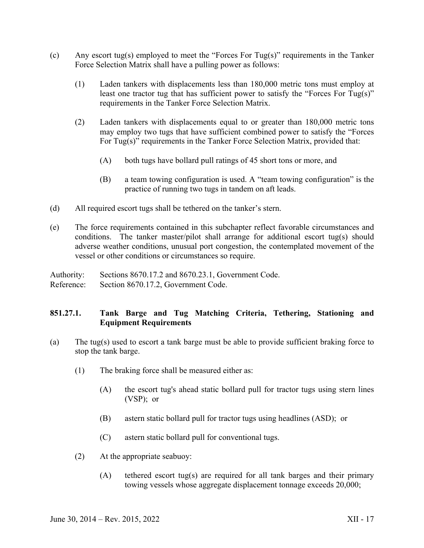- (c) Any escort tug(s) employed to meet the "Forces For Tug(s)" requirements in the Tanker Force Selection Matrix shall have a pulling power as follows:
	- (1) Laden tankers with displacements less than 180,000 metric tons must employ at least one tractor tug that has sufficient power to satisfy the "Forces For Tug(s)" requirements in the Tanker Force Selection Matrix.
	- (2) Laden tankers with displacements equal to or greater than 180,000 metric tons may employ two tugs that have sufficient combined power to satisfy the "Forces For Tug(s)" requirements in the Tanker Force Selection Matrix, provided that:
		- (A) both tugs have bollard pull ratings of 45 short tons or more, and
		- (B) a team towing configuration is used. A "team towing configuration" is the practice of running two tugs in tandem on aft leads.
- (d) All required escort tugs shall be tethered on the tanker's stern.
- (e) The force requirements contained in this subchapter reflect favorable circumstances and conditions. The tanker master/pilot shall arrange for additional escort tug(s) should adverse weather conditions, unusual port congestion, the contemplated movement of the vessel or other conditions or circumstances so require.

Authority: Sections 8670.17.2 and 8670.23.1, Government Code. Reference: Section 8670.17.2, Government Code.

# **851.27.1. Tank Barge and Tug Matching Criteria, Tethering, Stationing and Equipment Requirements**

- (a) The tug(s) used to escort a tank barge must be able to provide sufficient braking force to stop the tank barge.
	- (1) The braking force shall be measured either as:
		- (A) the escort tug's ahead static bollard pull for tractor tugs using stern lines (VSP); or
		- (B) astern static bollard pull for tractor tugs using headlines (ASD); or
		- (C) astern static bollard pull for conventional tugs.
	- (2) At the appropriate seabuoy:
		- (A) tethered escort tug(s) are required for all tank barges and their primary towing vessels whose aggregate displacement tonnage exceeds 20,000;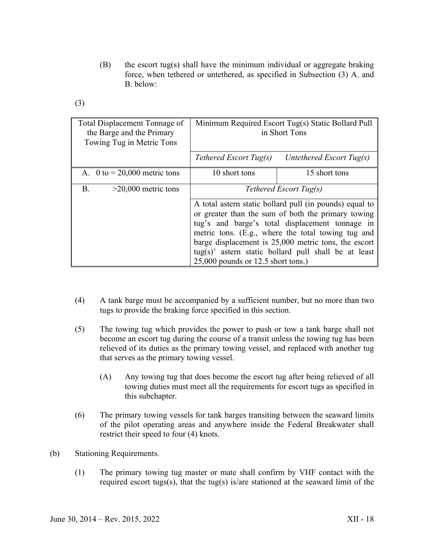- (B) the escort tug(s) shall have the minimum individual or aggregate braking force, when tethered or untethered, as specified in Subsection (3) A. and B. below:
- (3)

| Total Displacement Tonnage of<br>the Barge and the Primary<br>Towing Tug in Metric Tons | Minimum Required Escort Tug(s) Static Bollard Pull<br>in Short Tons                                                                                                                                                                                                                                                                                                               |                          |
|-----------------------------------------------------------------------------------------|-----------------------------------------------------------------------------------------------------------------------------------------------------------------------------------------------------------------------------------------------------------------------------------------------------------------------------------------------------------------------------------|--------------------------|
|                                                                                         | Tethered Escort Tug(s)                                                                                                                                                                                                                                                                                                                                                            | Untethered Escort Tug(s) |
| A. 0 to $= 20,000$ metric tons                                                          | 10 short tons                                                                                                                                                                                                                                                                                                                                                                     | 15 short tons            |
| <b>B.</b><br>$>20,000$ metric tons                                                      | Tethered Escort Tug(s)                                                                                                                                                                                                                                                                                                                                                            |                          |
|                                                                                         | A total astern static bollard pull (in pounds) equal to<br>or greater than the sum of both the primary towing<br>tug's and barge's total displacement tonnage in<br>metric tons. (E.g., where the total towing tug and<br>barge displacement is 25,000 metric tons, the escort<br>$tug(s)$ ' astern static bollard pull shall be at least<br>$25,000$ pounds or 12.5 short tons.) |                          |

- (4) A tank barge must be accompanied by a sufficient number, but no more than two tugs to provide the braking force specified in this section.
- (5) The towing tug which provides the power to push or tow a tank barge shall not become an escort tug during the course of a transit unless the towing tug has been relieved of its duties as the primary towing vessel, and replaced with another tug that serves as the primary towing vessel.
	- (A) Any towing tug that does become the escort tug after being relieved of all towing duties must meet all the requirements for escort tugs as specified in this subchapter.
- (6) The primary towing vessels for tank barges transiting between the seaward limits of the pilot operating areas and anywhere inside the Federal Breakwater shall restrict their speed to four (4) knots.
- (b) Stationing Requirements.
	- (1) The primary towing tug master or mate shall confirm by VHF contact with the required escort tugs(s), that the tug(s) is/are stationed at the seaward limit of the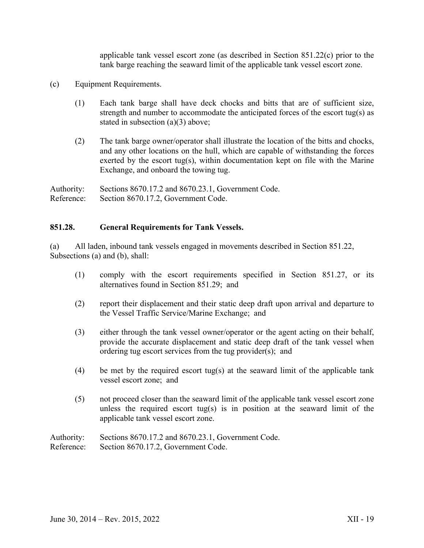applicable tank vessel escort zone (as described in Section 851.22(c) prior to the tank barge reaching the seaward limit of the applicable tank vessel escort zone.

- (c) Equipment Requirements.
	- (1) Each tank barge shall have deck chocks and bitts that are of sufficient size, strength and number to accommodate the anticipated forces of the escort tug(s) as stated in subsection (a)(3) above;
	- (2) The tank barge owner/operator shall illustrate the location of the bitts and chocks, and any other locations on the hull, which are capable of withstanding the forces exerted by the escort tug(s), within documentation kept on file with the Marine Exchange, and onboard the towing tug.

Authority: Sections 8670.17.2 and 8670.23.1, Government Code. Reference: Section 8670.17.2, Government Code.

#### **851.28. General Requirements for Tank Vessels.**

(a) All laden, inbound tank vessels engaged in movements described in Section 851.22, Subsections (a) and (b), shall:

- (1) comply with the escort requirements specified in Section 851.27, or its alternatives found in Section 851.29; and
- (2) report their displacement and their static deep draft upon arrival and departure to the Vessel Traffic Service/Marine Exchange; and
- (3) either through the tank vessel owner/operator or the agent acting on their behalf, provide the accurate displacement and static deep draft of the tank vessel when ordering tug escort services from the tug provider(s); and
- (4) be met by the required escort tug(s) at the seaward limit of the applicable tank vessel escort zone; and
- (5) not proceed closer than the seaward limit of the applicable tank vessel escort zone unless the required escort tug(s) is in position at the seaward limit of the applicable tank vessel escort zone.

Authority: Sections 8670.17.2 and 8670.23.1, Government Code. Reference: Section 8670.17.2, Government Code.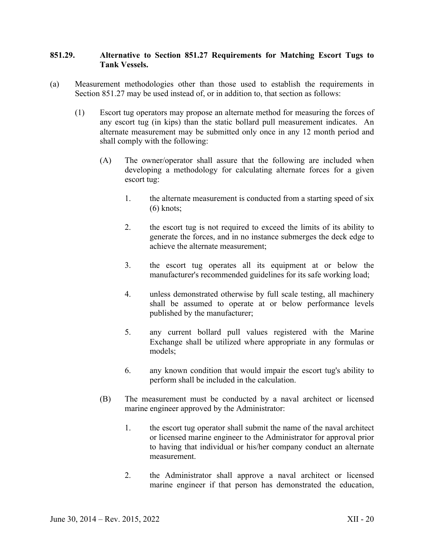### **851.29. Alternative to Section 851.27 Requirements for Matching Escort Tugs to Tank Vessels.**

- (a) Measurement methodologies other than those used to establish the requirements in Section 851.27 may be used instead of, or in addition to, that section as follows:
	- (1) Escort tug operators may propose an alternate method for measuring the forces of any escort tug (in kips) than the static bollard pull measurement indicates. An alternate measurement may be submitted only once in any 12 month period and shall comply with the following:
		- (A) The owner/operator shall assure that the following are included when developing a methodology for calculating alternate forces for a given escort tug:
			- 1. the alternate measurement is conducted from a starting speed of six  $(6)$  knots:
			- 2. the escort tug is not required to exceed the limits of its ability to generate the forces, and in no instance submerges the deck edge to achieve the alternate measurement;
			- 3. the escort tug operates all its equipment at or below the manufacturer's recommended guidelines for its safe working load;
			- 4. unless demonstrated otherwise by full scale testing, all machinery shall be assumed to operate at or below performance levels published by the manufacturer;
			- 5. any current bollard pull values registered with the Marine Exchange shall be utilized where appropriate in any formulas or models;
			- 6. any known condition that would impair the escort tug's ability to perform shall be included in the calculation.
		- (B) The measurement must be conducted by a naval architect or licensed marine engineer approved by the Administrator:
			- 1. the escort tug operator shall submit the name of the naval architect or licensed marine engineer to the Administrator for approval prior to having that individual or his/her company conduct an alternate measurement.
			- 2. the Administrator shall approve a naval architect or licensed marine engineer if that person has demonstrated the education,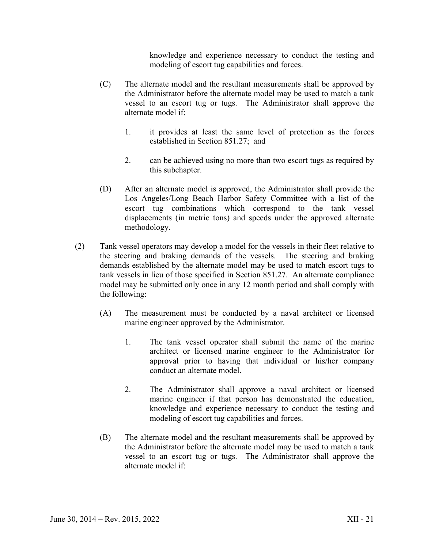knowledge and experience necessary to conduct the testing and modeling of escort tug capabilities and forces.

- (C) The alternate model and the resultant measurements shall be approved by the Administrator before the alternate model may be used to match a tank vessel to an escort tug or tugs. The Administrator shall approve the alternate model if:
	- 1. it provides at least the same level of protection as the forces established in Section 851.27; and
	- 2. can be achieved using no more than two escort tugs as required by this subchapter.
- (D) After an alternate model is approved, the Administrator shall provide the Los Angeles/Long Beach Harbor Safety Committee with a list of the escort tug combinations which correspond to the tank vessel displacements (in metric tons) and speeds under the approved alternate methodology.
- (2) Tank vessel operators may develop a model for the vessels in their fleet relative to the steering and braking demands of the vessels. The steering and braking demands established by the alternate model may be used to match escort tugs to tank vessels in lieu of those specified in Section 851.27. An alternate compliance model may be submitted only once in any 12 month period and shall comply with the following:
	- (A) The measurement must be conducted by a naval architect or licensed marine engineer approved by the Administrator.
		- 1. The tank vessel operator shall submit the name of the marine architect or licensed marine engineer to the Administrator for approval prior to having that individual or his/her company conduct an alternate model.
		- 2. The Administrator shall approve a naval architect or licensed marine engineer if that person has demonstrated the education, knowledge and experience necessary to conduct the testing and modeling of escort tug capabilities and forces.
	- (B) The alternate model and the resultant measurements shall be approved by the Administrator before the alternate model may be used to match a tank vessel to an escort tug or tugs. The Administrator shall approve the alternate model if: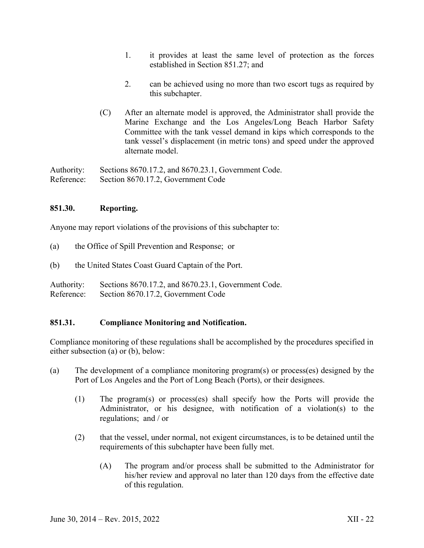- 1. it provides at least the same level of protection as the forces established in Section 851.27; and
- 2. can be achieved using no more than two escort tugs as required by this subchapter.
- (C) After an alternate model is approved, the Administrator shall provide the Marine Exchange and the Los Angeles/Long Beach Harbor Safety Committee with the tank vessel demand in kips which corresponds to the tank vessel's displacement (in metric tons) and speed under the approved alternate model.

Authority: Sections 8670.17.2, and 8670.23.1, Government Code. Reference: Section 8670.17.2, Government Code

# **851.30. Reporting.**

Anyone may report violations of the provisions of this subchapter to:

- (a) the Office of Spill Prevention and Response; or
- (b) the United States Coast Guard Captain of the Port.

Authority: Sections 8670.17.2, and 8670.23.1, Government Code. Reference: Section 8670.17.2, Government Code

#### **851.31. Compliance Monitoring and Notification.**

Compliance monitoring of these regulations shall be accomplished by the procedures specified in either subsection (a) or (b), below:

- (a) The development of a compliance monitoring program(s) or process(es) designed by the Port of Los Angeles and the Port of Long Beach (Ports), or their designees.
	- (1) The program(s) or process(es) shall specify how the Ports will provide the Administrator, or his designee, with notification of a violation(s) to the regulations; and / or
	- (2) that the vessel, under normal, not exigent circumstances, is to be detained until the requirements of this subchapter have been fully met.
		- (A) The program and/or process shall be submitted to the Administrator for his/her review and approval no later than 120 days from the effective date of this regulation.